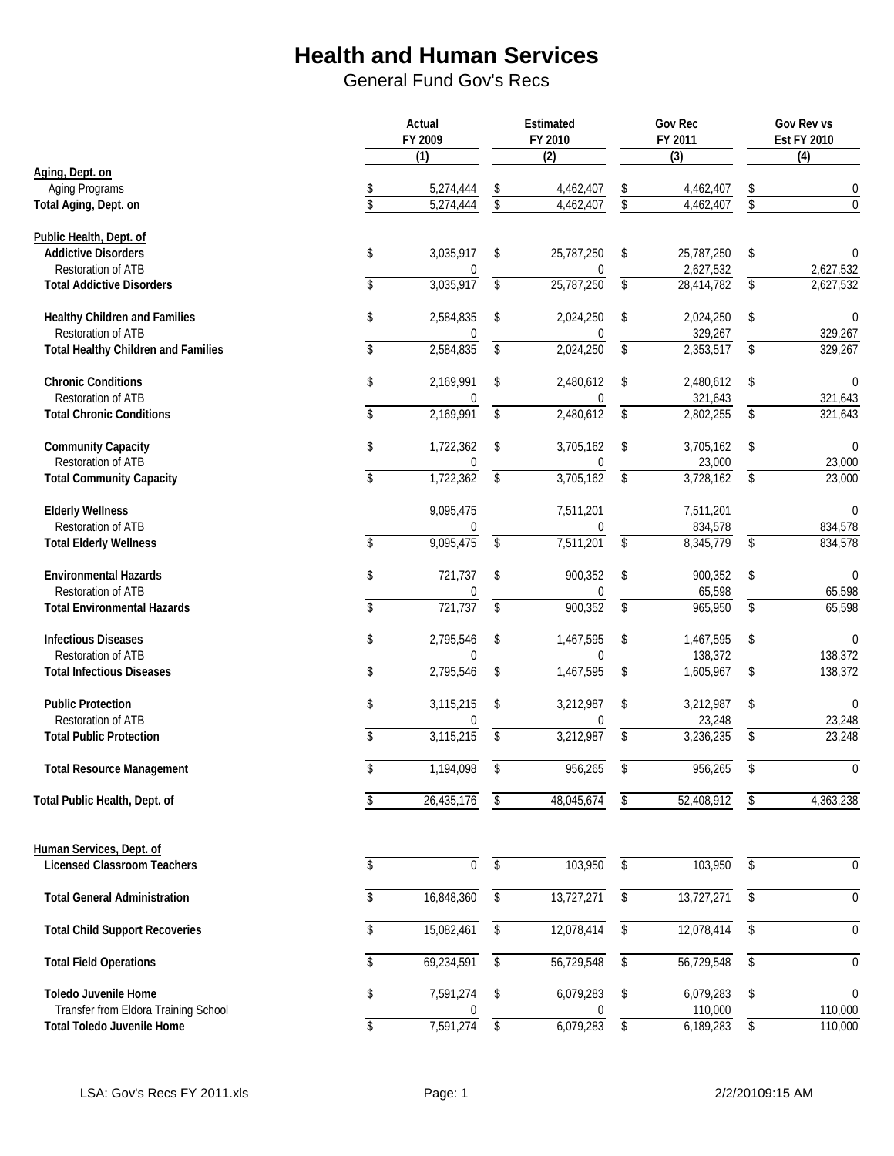|                                            | Actual<br>FY 2009            |                     | Estimated<br>FY 2010   |                                           | <b>Gov Rec</b><br>FY 2011 |            | Gov Rev vs<br><b>Est FY 2010</b> |
|--------------------------------------------|------------------------------|---------------------|------------------------|-------------------------------------------|---------------------------|------------|----------------------------------|
|                                            | $\overline{(1)}$             |                     | $\overline{(2)}$       |                                           | $\overline{3}$            |            | $\overline{(4)}$                 |
| Aging, Dept. on                            |                              |                     |                        |                                           |                           |            |                                  |
| Aging Programs<br>Total Aging, Dept. on    | \$<br>5,274,444<br>5,274,444 | $\frac{1}{2}$<br>\$ | 4,462,407<br>4,462,407 | $\boldsymbol{\mathsf{S}}$<br>$\sqrt[6]{}$ | 4,462,407<br>4,462,407    | \$<br>\$   | 0<br>$\theta$                    |
|                                            |                              |                     |                        |                                           |                           |            |                                  |
| Public Health, Dept. of                    |                              |                     |                        |                                           |                           |            |                                  |
| <b>Addictive Disorders</b>                 | \$<br>3,035,917              | \$                  | 25,787,250             | \$                                        | 25,787,250                | \$         | 0                                |
| Restoration of ATB                         | 0                            |                     | 0                      |                                           | 2,627,532                 |            | 2,627,532                        |
| <b>Total Addictive Disorders</b>           | \$<br>3,035,917              | \$                  | 25,787,250             | \$                                        | 28,414,782                | \$         | 2,627,532                        |
|                                            |                              |                     |                        |                                           |                           |            |                                  |
| Healthy Children and Families              | \$<br>2,584,835              | \$                  | 2,024,250              | \$                                        | 2,024,250                 | \$         | $\mathbf 0$                      |
| Restoration of ATB                         | $\Omega$                     |                     | 0                      |                                           | 329,267                   |            | 329,267                          |
| <b>Total Healthy Children and Families</b> | \$<br>2,584,835              | \$                  | 2,024,250              | $\overline{\mathcal{L}}$                  | 2,353,517                 | \$         | 329,267                          |
|                                            |                              |                     |                        |                                           |                           |            |                                  |
| <b>Chronic Conditions</b>                  | \$<br>2,169,991              | \$                  | 2,480,612              | \$                                        | 2,480,612                 | \$         | $\Omega$                         |
| Restoration of ATB                         | $\Omega$                     |                     | $\mathbf{0}$           |                                           | 321,643                   |            | 321,643                          |
| <b>Total Chronic Conditions</b>            | \$<br>2,169,991              | \$                  | 2,480,612              | \$                                        | 2,802,255                 | \$         | 321,643                          |
|                                            |                              |                     |                        |                                           |                           |            |                                  |
| <b>Community Capacity</b>                  | \$<br>1,722,362              | \$                  | 3,705,162              | \$                                        | 3,705,162                 | \$         | $\mathbf 0$                      |
| Restoration of ATB                         | 0                            |                     | 0                      |                                           | 23,000                    |            | 23,000                           |
| <b>Total Community Capacity</b>            | \$<br>1,722,362              | \$                  | 3,705,162              | \$                                        | 3,728,162                 | \$         | 23,000                           |
|                                            |                              |                     |                        |                                           |                           |            |                                  |
| <b>Elderly Wellness</b>                    | 9,095,475                    |                     | 7,511,201              |                                           | 7,511,201                 |            | $\mathbf{0}$                     |
| <b>Restoration of ATB</b>                  | 0                            |                     | 0                      |                                           | 834,578                   |            | 834,578                          |
| <b>Total Elderly Wellness</b>              | \$<br>9,095,475              | \$                  | 7,511,201              | $\overline{\mathcal{L}}$                  | 8,345,779                 | \$         | 834,578                          |
| <b>Environmental Hazards</b>               | \$<br>721,737                | \$                  | 900,352                | \$                                        | 900,352                   | \$         | $\mathbf{0}$                     |
| Restoration of ATB                         | 0                            |                     | 0                      |                                           | 65,598                    |            | 65,598                           |
| <b>Total Environmental Hazards</b>         | \$<br>721,737                | $\overline{\$}$     | 900,352                | $\overline{\$}$                           | 965,950                   | $\sqrt{2}$ | 65,598                           |
|                                            |                              |                     |                        |                                           |                           |            |                                  |
| <b>Infectious Diseases</b>                 | \$<br>2,795,546              | \$                  | 1,467,595              | \$                                        | 1,467,595                 | \$         | $\mathbf 0$                      |
| Restoration of ATB                         |                              |                     |                        |                                           | 138,372                   |            | 138,372                          |
| <b>Total Infectious Diseases</b>           | \$<br>2,795,546              | \$                  | 1,467,595              | \$                                        | 1,605,967                 | \$         | 138,372                          |
|                                            |                              |                     |                        |                                           |                           |            |                                  |
| <b>Public Protection</b>                   | \$<br>3,115,215              | \$                  | 3,212,987              | \$                                        | 3,212,987                 | \$         | $\theta$                         |
| <b>Restoration of ATB</b>                  | $\Omega$                     |                     | $\mathbf{0}$           |                                           | 23,248                    |            | 23,248                           |
| <b>Total Public Protection</b>             | \$<br>3,115,215              | \$                  | 3,212,987              | \$                                        | 3,236,235                 | \$         | 23,248                           |
|                                            |                              |                     |                        |                                           |                           |            |                                  |
| <b>Total Resource Management</b>           | \$<br>1,194,098              | \$                  | 956,265                | \$                                        | 956,265                   | \$         | $\mathbf 0$                      |
|                                            |                              |                     |                        |                                           |                           |            |                                  |
| Total Public Health, Dept. of              | \$<br>26,435,176             | \$                  | 48,045,674             | \$                                        | 52,408,912                | \$         | 4,363,238                        |
|                                            |                              |                     |                        |                                           |                           |            |                                  |
| Human Services, Dept. of                   |                              |                     |                        |                                           |                           |            |                                  |
| <b>Licensed Classroom Teachers</b>         | \$<br>$\pmb{0}$              | \$                  | 103,950                | $\overline{\$}$                           | 103,950                   | \$         | $\boldsymbol{0}$                 |
|                                            |                              |                     |                        |                                           |                           |            |                                  |
| <b>Total General Administration</b>        | \$<br>16,848,360             | \$                  | 13,727,271             | \$                                        | 13,727,271                | \$         | $\boldsymbol{0}$                 |
|                                            |                              |                     |                        |                                           |                           |            |                                  |
| <b>Total Child Support Recoveries</b>      | \$<br>15,082,461             | \$                  | 12,078,414             | \$                                        | 12,078,414                | \$         | $\mathbf{0}$                     |
|                                            |                              |                     |                        |                                           |                           |            |                                  |
| <b>Total Field Operations</b>              | \$<br>69,234,591             | $\overline{\$}$     | 56,729,548             | $\overline{\$}$                           | 56,729,548                | \$         | $\mathbf 0$                      |
|                                            |                              |                     |                        |                                           |                           |            |                                  |
| <b>Toledo Juvenile Home</b>                | \$<br>7,591,274              | \$                  | 6,079,283              | \$                                        | 6,079,283                 | \$         | $\theta$                         |
| Transfer from Eldora Training School       |                              |                     |                        |                                           | 110,000                   |            | 110,000                          |
| <b>Total Toledo Juvenile Home</b>          | \$<br>7,591,274              | \$                  | 6,079,283              | \$                                        | 6,189,283                 | \$         | 110,000                          |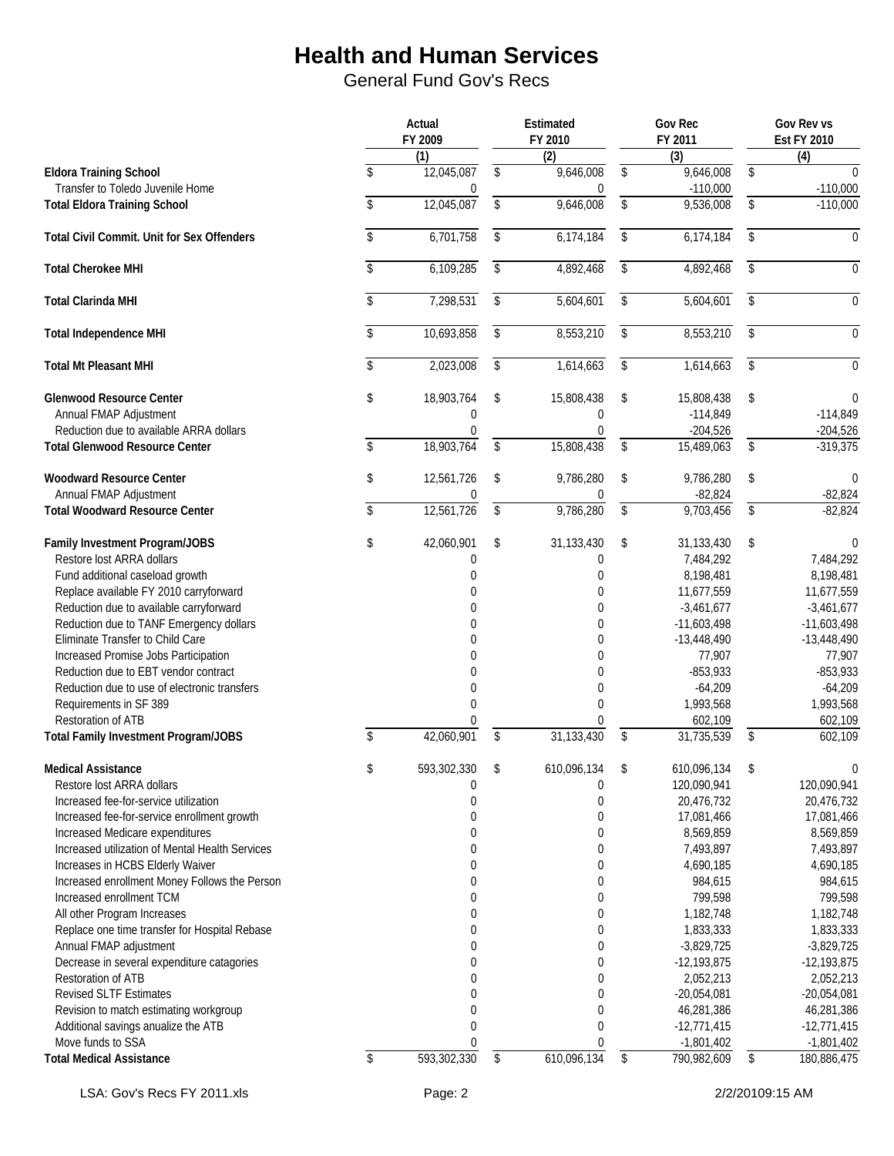|                                                                                      | Actual<br>FY 2009            |                         | Estimated<br>FY 2010       | <b>Gov Rec</b><br>FY 2011     | Gov Rev vs<br><b>Est FY 2010</b> |
|--------------------------------------------------------------------------------------|------------------------------|-------------------------|----------------------------|-------------------------------|----------------------------------|
|                                                                                      | (1)                          |                         | $\overline{(2)}$           | $\overline{3}$                | (4)                              |
| <b>Eldora Training School</b><br>Transfer to Toledo Juvenile Home                    | \$<br>12,045,087<br>$\Omega$ | \$                      | 9,646,008<br>$\mathbf{0}$  | \$<br>9,646,008<br>$-110,000$ | \$<br>$-110,000$                 |
| <b>Total Eldora Training School</b>                                                  | \$<br>12,045,087             | \$                      | 9,646,008                  | \$<br>9,536,008               | \$<br>$-110,000$                 |
| <b>Total Civil Commit. Unit for Sex Offenders</b>                                    | \$<br>6,701,758              | \$                      | 6,174,184                  | \$<br>6,174,184               | \$<br>$\mathbf{0}$               |
| <b>Total Cherokee MHI</b>                                                            | \$<br>6,109,285              | \$                      | 4,892,468                  | \$<br>4,892,468               | \$<br>$\mathbf{0}$               |
| <b>Total Clarinda MHI</b>                                                            | \$<br>7,298,531              | \$                      | 5,604,601                  | \$<br>5,604,601               | \$<br>$\Omega$                   |
| <b>Total Independence MHI</b>                                                        | \$<br>10,693,858             | \$                      | 8,553,210                  | \$<br>8,553,210               | \$<br>$\mathbf{0}$               |
| <b>Total Mt Pleasant MHI</b>                                                         | \$<br>2,023,008              | \$                      | 1,614,663                  | \$<br>1,614,663               | \$<br>$\mathbf 0$                |
| <b>Glenwood Resource Center</b>                                                      | \$<br>18,903,764             | \$                      | 15,808,438                 | \$<br>15,808,438              | \$<br>$\Omega$                   |
| Annual FMAP Adjustment                                                               | $\mathbf 0$                  |                         | $\mathbf 0$                | $-114,849$                    | $-114,849$                       |
| Reduction due to available ARRA dollars                                              | 0                            |                         | $\mathbf 0$                | $-204,526$                    | $-204,526$                       |
| <b>Total Glenwood Resource Center</b>                                                | \$<br>18,903,764             | $\mathsf{\$}$           | 15,808,438                 | \$<br>15,489,063              | \$<br>$-319,375$                 |
| <b>Woodward Resource Center</b><br>Annual FMAP Adjustment                            | \$<br>12,561,726<br>$\Omega$ | \$                      | 9,786,280<br>0             | \$<br>9,786,280<br>$-82,824$  | \$<br>$\Omega$<br>$-82,824$      |
| <b>Total Woodward Resource Center</b>                                                | \$<br>12,561,726             | $\sqrt[6]{\frac{1}{2}}$ | 9,786,280                  | \$<br>9,703,456               | \$<br>$-82,824$                  |
| Family Investment Program/JOBS                                                       | \$<br>42,060,901             | \$                      | 31,133,430                 | \$<br>31,133,430              | \$                               |
| Restore lost ARRA dollars                                                            | $\mathbf 0$                  |                         | 0                          | 7,484,292                     | 7,484,292                        |
| Fund additional caseload growth                                                      | 0                            |                         | 0                          | 8,198,481                     | 8,198,481                        |
| Replace available FY 2010 carryforward                                               | $\mathbf{0}$                 |                         | $\boldsymbol{0}$           | 11,677,559                    | 11,677,559                       |
| Reduction due to available carryforward                                              | $\Omega$                     |                         | $\mathbf 0$                | $-3,461,677$                  | $-3,461,677$                     |
| Reduction due to TANF Emergency dollars                                              | $\Omega$                     |                         | $\mathbf 0$                | $-11,603,498$                 | $-11,603,498$                    |
| Eliminate Transfer to Child Care                                                     | $\Omega$<br>$\Omega$         |                         | $\mathbf 0$<br>$\mathbf 0$ | $-13,448,490$                 | $-13,448,490$                    |
| Increased Promise Jobs Participation                                                 |                              |                         | $\mathbf 0$                | 77,907                        | 77,907                           |
| Reduction due to EBT vendor contract<br>Reduction due to use of electronic transfers | $\mathbf 0$                  |                         | $\boldsymbol{0}$           | $-853,933$<br>$-64,209$       | $-853,933$<br>$-64,209$          |
|                                                                                      | $\pmb{0}$<br>$\Omega$        |                         | $\Omega$                   | 1,993,568                     | 1,993,568                        |
| Requirements in SF 389<br>Restoration of ATB                                         | $\Omega$                     |                         | $\mathbf 0$                | 602,109                       | 602,109                          |
| <b>Total Family Investment Program/JOBS</b>                                          | \$<br>42,060,901             | \$                      | 31, 133, 430               | \$<br>31,735,539              | \$<br>602,109                    |
| <b>Medical Assistance</b>                                                            | \$<br>593,302,330            | \$                      | 610,096,134                | \$<br>610,096,134             | \$<br>$\Omega$                   |
| Restore lost ARRA dollars                                                            | $\boldsymbol{0}$             |                         | $\pmb{0}$                  | 120,090,941                   | 120,090,941                      |
| Increased fee-for-service utilization                                                | $\boldsymbol{0}$             |                         | $\boldsymbol{0}$           | 20,476,732                    | 20,476,732                       |
| Increased fee-for-service enrollment growth                                          | $\mathbf 0$                  |                         | $\boldsymbol{0}$           | 17,081,466                    | 17,081,466                       |
| Increased Medicare expenditures                                                      | 0                            |                         | 0                          | 8,569,859                     | 8,569,859                        |
| Increased utilization of Mental Health Services                                      | 0                            |                         | 0                          | 7,493,897                     | 7,493,897                        |
| Increases in HCBS Elderly Waiver                                                     | 0                            |                         | 0                          | 4,690,185                     | 4,690,185                        |
| Increased enrollment Money Follows the Person                                        | 0                            |                         | 0                          | 984,615                       | 984,615                          |
| Increased enrollment TCM                                                             | $\mathbf 0$                  |                         | $\boldsymbol{0}$           | 799,598                       | 799,598                          |
| All other Program Increases                                                          | $\mathbf{0}$                 |                         | $\mathbf 0$                | 1,182,748                     | 1,182,748                        |
| Replace one time transfer for Hospital Rebase                                        | $\mathbf{0}$                 |                         | 0                          | 1,833,333                     | 1,833,333                        |
| Annual FMAP adjustment                                                               | $\Omega$                     |                         | 0                          | $-3,829,725$                  | $-3,829,725$                     |
| Decrease in several expenditure catagories                                           | $\mathbf 0$                  |                         | 0                          | $-12,193,875$                 | $-12,193,875$                    |
| Restoration of ATB                                                                   | $\mathbf 0$                  |                         | 0                          | 2,052,213                     | 2,052,213                        |
| <b>Revised SLTF Estimates</b>                                                        | $\mathbf 0$                  |                         | 0                          | $-20,054,081$                 | $-20,054,081$                    |
| Revision to match estimating workgroup                                               | $\pmb{0}$                    |                         | $\boldsymbol{0}$           | 46,281,386                    | 46,281,386                       |
| Additional savings anualize the ATB                                                  | $\mathbf 0$                  |                         | $\mathbf 0$                | $-12,771,415$                 | $-12,771,415$                    |
| Move funds to SSA                                                                    | 0                            |                         | $\mathbf 0$                | $-1,801,402$                  | $-1,801,402$                     |
| <b>Total Medical Assistance</b>                                                      | \$<br>593,302,330            | \$                      | 610,096,134                | \$<br>790,982,609             | \$<br>180,886,475                |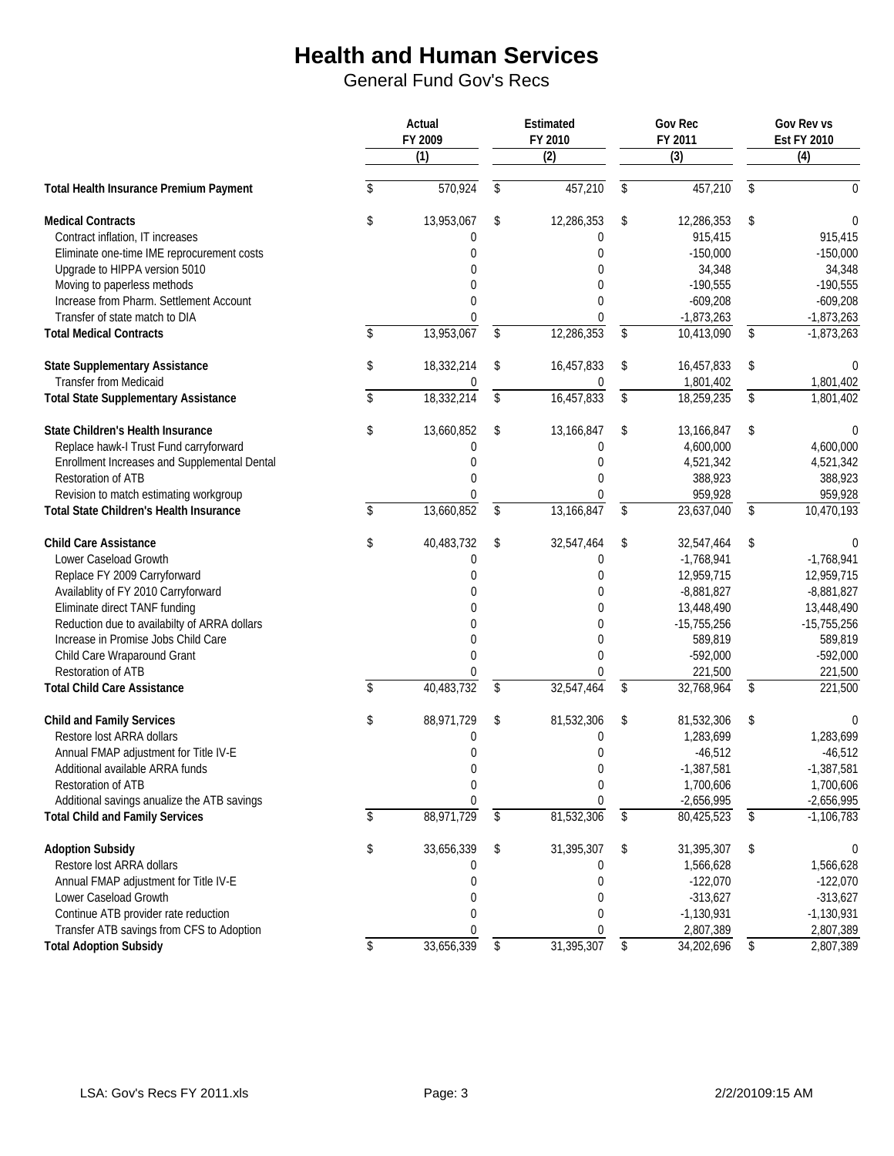|                                              |             | Actual<br>FY 2009 |            | Estimated<br>FY 2010 | Gov Rec<br>FY 2011 | Gov Rev vs<br><b>Est FY 2010</b> |
|----------------------------------------------|-------------|-------------------|------------|----------------------|--------------------|----------------------------------|
|                                              |             | $\overline{(1)}$  |            | $\overline{(2)}$     | $\overline{3}$     | (4)                              |
| Total Health Insurance Premium Payment       | \$          | 570,924           | \$         | 457,210              | \$<br>457,210      | \$<br>0                          |
| <b>Medical Contracts</b>                     | \$          | 13,953,067        | \$         | 12,286,353           | \$<br>12,286,353   | \$<br>0                          |
| Contract inflation, IT increases             |             | 0                 |            | 0                    | 915,415            | 915,415                          |
| Eliminate one-time IME reprocurement costs   |             | $\Omega$          |            | $\mathbf 0$          | $-150,000$         | $-150,000$                       |
| Upgrade to HIPPA version 5010                |             | $\Omega$          |            | $\Omega$             | 34,348             | 34,348                           |
| Moving to paperless methods                  |             | $\Omega$          |            | 0                    | $-190,555$         | $-190,555$                       |
| Increase from Pharm. Settlement Account      |             | $\mathbf 0$       |            | $\Omega$             | $-609,208$         | $-609,208$                       |
| Transfer of state match to DIA               |             | $\Omega$          |            | 0                    | $-1,873,263$       | $-1,873,263$                     |
| <b>Total Medical Contracts</b>               | \$          | 13,953,067        | \$         | 12,286,353           | \$<br>10,413,090   | \$<br>$-1,873,263$               |
| <b>State Supplementary Assistance</b>        | \$          | 18,332,214        | \$         | 16,457,833           | \$<br>16,457,833   | \$<br>0                          |
| <b>Transfer from Medicaid</b>                |             | 0                 |            | 0                    | 1,801,402          | 1,801,402                        |
| <b>Total State Supplementary Assistance</b>  | \$          | 18,332,214        | \$         | 16,457,833           | \$<br>18,259,235   | \$<br>1,801,402                  |
| State Children's Health Insurance            | \$          | 13,660,852        | \$         | 13,166,847           | \$<br>13,166,847   | \$<br>$\Omega$                   |
| Replace hawk-I Trust Fund carryforward       |             | 0                 |            | $\mathbf 0$          | 4,600,000          | 4,600,000                        |
| Enrollment Increases and Supplemental Dental |             | $\Omega$          |            | $\mathbf 0$          | 4,521,342          | 4,521,342                        |
| Restoration of ATB                           |             | $\Omega$          |            | $\theta$             | 388,923            | 388,923                          |
| Revision to match estimating workgroup       |             | $\Omega$          |            | $\mathbf{0}$         | 959,928            | 959,928                          |
| Total State Children's Health Insurance      | $\mathsf S$ | 13,660,852        | \$         | 13,166,847           | \$<br>23,637,040   | \$<br>10,470,193                 |
| <b>Child Care Assistance</b>                 | \$          | 40,483,732        | \$         | 32,547,464           | \$<br>32,547,464   | \$<br>0                          |
| Lower Caseload Growth                        |             | 0                 |            | 0                    | $-1,768,941$       | $-1,768,941$                     |
| Replace FY 2009 Carryforward                 |             | $\Omega$          |            | $\mathbf{0}$         | 12,959,715         | 12,959,715                       |
| Availablity of FY 2010 Carryforward          |             | $\Omega$          |            | $\mathbf{0}$         | $-8,881,827$       | $-8,881,827$                     |
| Eliminate direct TANF funding                |             | $\Omega$          |            | 0                    | 13,448,490         | 13,448,490                       |
| Reduction due to availabilty of ARRA dollars |             | $\Omega$          |            | $\mathbf 0$          | $-15,755,256$      | $-15,755,256$                    |
| Increase in Promise Jobs Child Care          |             | $\Omega$          |            | $\mathbf{0}$         | 589,819            | 589,819                          |
| Child Care Wraparound Grant                  |             | $\Omega$          |            | $\mathbf 0$          | $-592,000$         | $-592,000$                       |
| Restoration of ATB                           |             | 0                 |            | 0                    | 221,500            | 221,500                          |
| <b>Total Child Care Assistance</b>           | \$          | 40,483,732        | \$         | 32,547,464           | \$<br>32,768,964   | \$<br>221,500                    |
| <b>Child and Family Services</b>             | \$          | 88,971,729        | \$         | 81,532,306           | \$<br>81,532,306   | \$<br>0                          |
| Restore lost ARRA dollars                    |             | 0                 |            | 0                    | 1,283,699          | 1,283,699                        |
| Annual FMAP adjustment for Title IV-E        |             | 0                 |            | $\mathbf 0$          | $-46,512$          | $-46,512$                        |
| Additional available ARRA funds              |             | $\Omega$          |            | $\Omega$             | $-1,387,581$       | $-1,387,581$                     |
| Restoration of ATB                           |             | $\boldsymbol{0}$  |            | $\boldsymbol{0}$     | 1,700,606          | 1,700,606                        |
| Additional savings anualize the ATB savings  |             | 0                 |            | 0                    | $-2,656,995$       | $-2,656,995$                     |
| <b>Total Child and Family Services</b>       | \$          | 88,971,729        | $\sqrt{ }$ | 81,532,306           | \$<br>80,425,523   | \$<br>$-1,106,783$               |
| <b>Adoption Subsidy</b>                      | \$          | 33,656,339        | \$         | 31,395,307           | \$<br>31,395,307   | \$<br>$\mathbf{0}$               |
| Restore lost ARRA dollars                    |             | $\Omega$          |            | 0                    | 1,566,628          | 1,566,628                        |
| Annual FMAP adjustment for Title IV-E        |             | 0                 |            | 0                    | $-122,070$         | $-122,070$                       |
| Lower Caseload Growth                        |             | 0                 |            | 0                    | $-313,627$         | $-313,627$                       |
| Continue ATB provider rate reduction         |             | 0                 |            | 0                    | $-1,130,931$       | $-1,130,931$                     |
| Transfer ATB savings from CFS to Adoption    |             | 0                 |            | 0                    | 2,807,389          | 2,807,389                        |
| <b>Total Adoption Subsidy</b>                | \$          | 33,656,339        | \$         | 31,395,307           | \$<br>34,202,696   | \$<br>2,807,389                  |